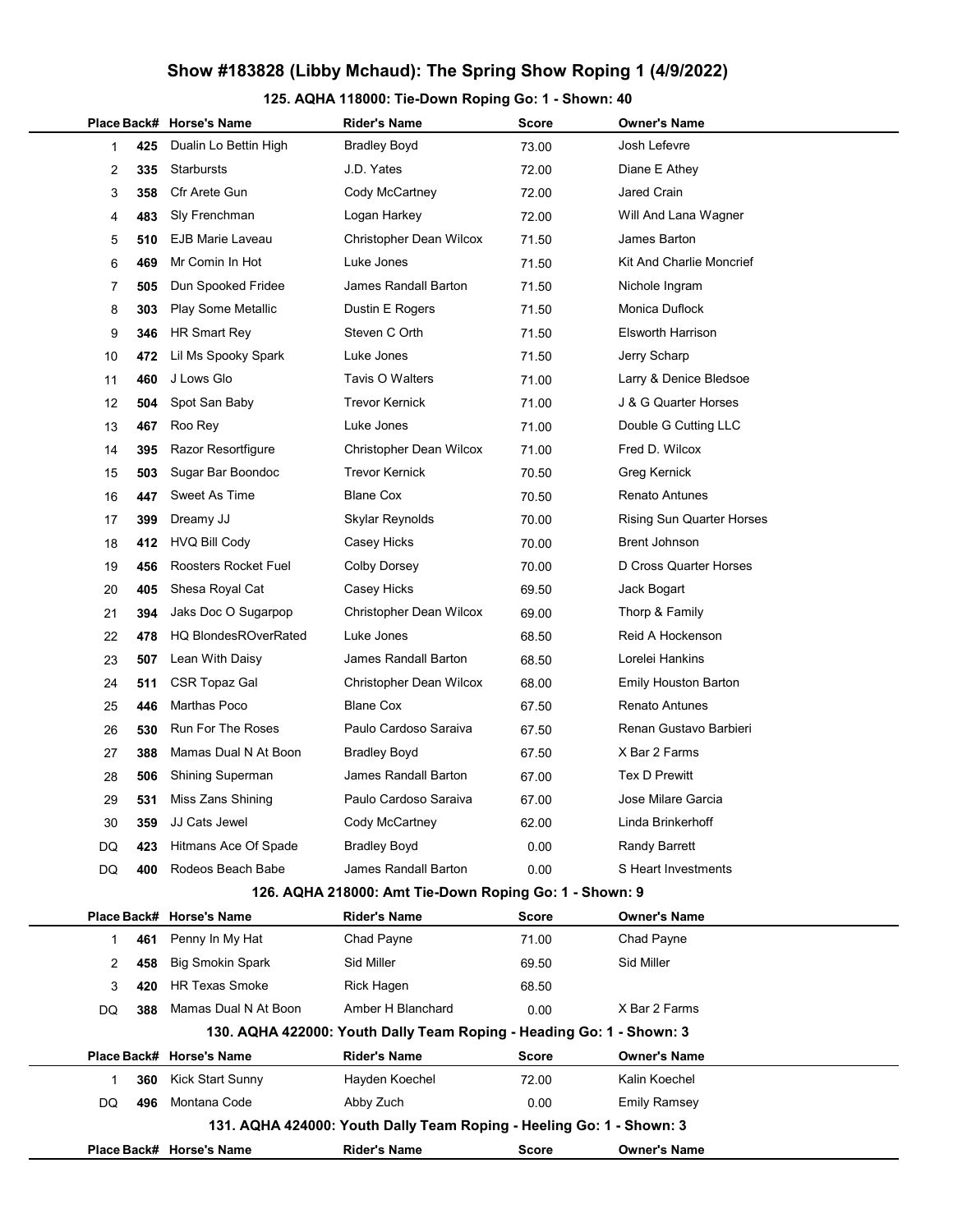### 125. AQHA 118000: Tie-Down Roping Go: 1 - Shown: 40

|              |             | Place Back# Horse's Name    | <b>Rider's Name</b>                                                  | Score        | Owner's Name                     |
|--------------|-------------|-----------------------------|----------------------------------------------------------------------|--------------|----------------------------------|
| 1            | 425         | Dualin Lo Bettin High       | <b>Bradley Boyd</b>                                                  | 73.00        | Josh Lefevre                     |
| 2            | 335         | <b>Starbursts</b>           | J.D. Yates                                                           | 72.00        | Diane E Athey                    |
| 3            | 358         | Cfr Arete Gun               | Cody McCartney                                                       | 72.00        | Jared Crain                      |
| 4            | 483         | Sly Frenchman               | Logan Harkey                                                         | 72.00        | Will And Lana Wagner             |
| 5            | 510         | <b>EJB Marie Laveau</b>     | Christopher Dean Wilcox                                              | 71.50        | James Barton                     |
| 6            | 469         | Mr Comin In Hot             | Luke Jones                                                           | 71.50        | Kit And Charlie Moncrief         |
| 7            | 505         | Dun Spooked Fridee          | <b>James Randall Barton</b>                                          | 71.50        | Nichole Ingram                   |
| 8            | 303         | Play Some Metallic          | Dustin E Rogers                                                      | 71.50        | Monica Duflock                   |
| 9            | 346         | HR Smart Rey                | Steven C Orth                                                        | 71.50        | <b>Elsworth Harrison</b>         |
| 10           | 472         | Lil Ms Spooky Spark         | Luke Jones                                                           | 71.50        | Jerry Scharp                     |
| 11           | 460         | J Lows Glo                  | Tavis O Walters                                                      | 71.00        | Larry & Denice Bledsoe           |
| 12           | 504         | Spot San Baby               | <b>Trevor Kernick</b>                                                | 71.00        | J & G Quarter Horses             |
| 13           | 467         | Roo Rey                     | Luke Jones                                                           | 71.00        | Double G Cutting LLC             |
| 14           | 395         | Razor Resortfigure          | Christopher Dean Wilcox                                              | 71.00        | Fred D. Wilcox                   |
| 15           | 503         | Sugar Bar Boondoc           | <b>Trevor Kernick</b>                                                | 70.50        | Greg Kernick                     |
| 16           | 447         | Sweet As Time               | <b>Blane Cox</b>                                                     | 70.50        | <b>Renato Antunes</b>            |
| 17           | 399         | Dreamy JJ                   | Skylar Reynolds                                                      | 70.00        | <b>Rising Sun Quarter Horses</b> |
| 18           | 412         | <b>HVQ Bill Cody</b>        | Casey Hicks                                                          | 70.00        | Brent Johnson                    |
| 19           | 456         | Roosters Rocket Fuel        | <b>Colby Dorsey</b>                                                  | 70.00        | D Cross Quarter Horses           |
| 20           | 405         | Shesa Royal Cat             | Casey Hicks                                                          | 69.50        | Jack Bogart                      |
| 21           | 394         | Jaks Doc O Sugarpop         | Christopher Dean Wilcox                                              | 69.00        | Thorp & Family                   |
| 22           | 478         | <b>HQ BlondesROverRated</b> | Luke Jones                                                           | 68.50        | Reid A Hockenson                 |
| 23           | 507         | Lean With Daisy             | James Randall Barton                                                 | 68.50        | Lorelei Hankins                  |
| 24           | 511         | <b>CSR Topaz Gal</b>        | Christopher Dean Wilcox                                              | 68.00        | <b>Emily Houston Barton</b>      |
| 25           | 446         | <b>Marthas Poco</b>         | <b>Blane Cox</b>                                                     | 67.50        | <b>Renato Antunes</b>            |
| 26           | 530         | <b>Run For The Roses</b>    | Paulo Cardoso Saraiva                                                | 67.50        | Renan Gustavo Barbieri           |
| 27           | 388         | Mamas Dual N At Boon        | <b>Bradley Boyd</b>                                                  | 67.50        | X Bar 2 Farms                    |
| 28           | 506         | <b>Shining Superman</b>     | James Randall Barton                                                 | 67.00        | <b>Tex D Prewitt</b>             |
| 29           | 531         | Miss Zans Shining           | Paulo Cardoso Saraiva                                                | 67.00        | Jose Milare Garcia               |
| 30           | 359         | JJ Cats Jewel               | Cody McCartney                                                       | 62.00        | Linda Brinkerhoff                |
| DQ           | 423         | Hitmans Ace Of Spade        | <b>Bradley Boyd</b>                                                  | 0.00         | Randy Barrett                    |
| DQ           | 400         | Rodeos Beach Babe           | James Randall Barton                                                 | 0.00         | S Heart Investments              |
|              |             |                             | 126. AQHA 218000: Amt Tie-Down Roping Go: 1 - Shown: 9               |              |                                  |
|              | Place Back# | <b>Horse's Name</b>         | <b>Rider's Name</b>                                                  | <b>Score</b> | Owner's Name                     |
| 1            | 461         | Penny In My Hat             | Chad Payne                                                           | 71.00        | Chad Payne                       |
| 2            | 458         | <b>Big Smokin Spark</b>     | Sid Miller                                                           | 69.50        | Sid Miller                       |
| 3            | 420         | <b>HR Texas Smoke</b>       | Rick Hagen                                                           | 68.50        |                                  |
| DQ           | 388         | Mamas Dual N At Boon        | Amber H Blanchard                                                    | 0.00         | X Bar 2 Farms                    |
|              |             |                             | 130. AQHA 422000: Youth Dally Team Roping - Heading Go: 1 - Shown: 3 |              |                                  |
|              |             | Place Back# Horse's Name    | <b>Rider's Name</b>                                                  | <b>Score</b> | Owner's Name                     |
| $\mathbf{1}$ | 360         | <b>Kick Start Sunny</b>     | Hayden Koechel                                                       | 72.00        | Kalin Koechel                    |
| DQ           | 496         | Montana Code                | Abby Zuch                                                            | 0.00         | <b>Emily Ramsey</b>              |
|              |             |                             | 131. AQHA 424000: Youth Dally Team Roping - Heeling Go: 1 - Shown: 3 |              |                                  |
|              |             | Place Back# Horse's Name    | <b>Rider's Name</b>                                                  | <b>Score</b> | <b>Owner's Name</b>              |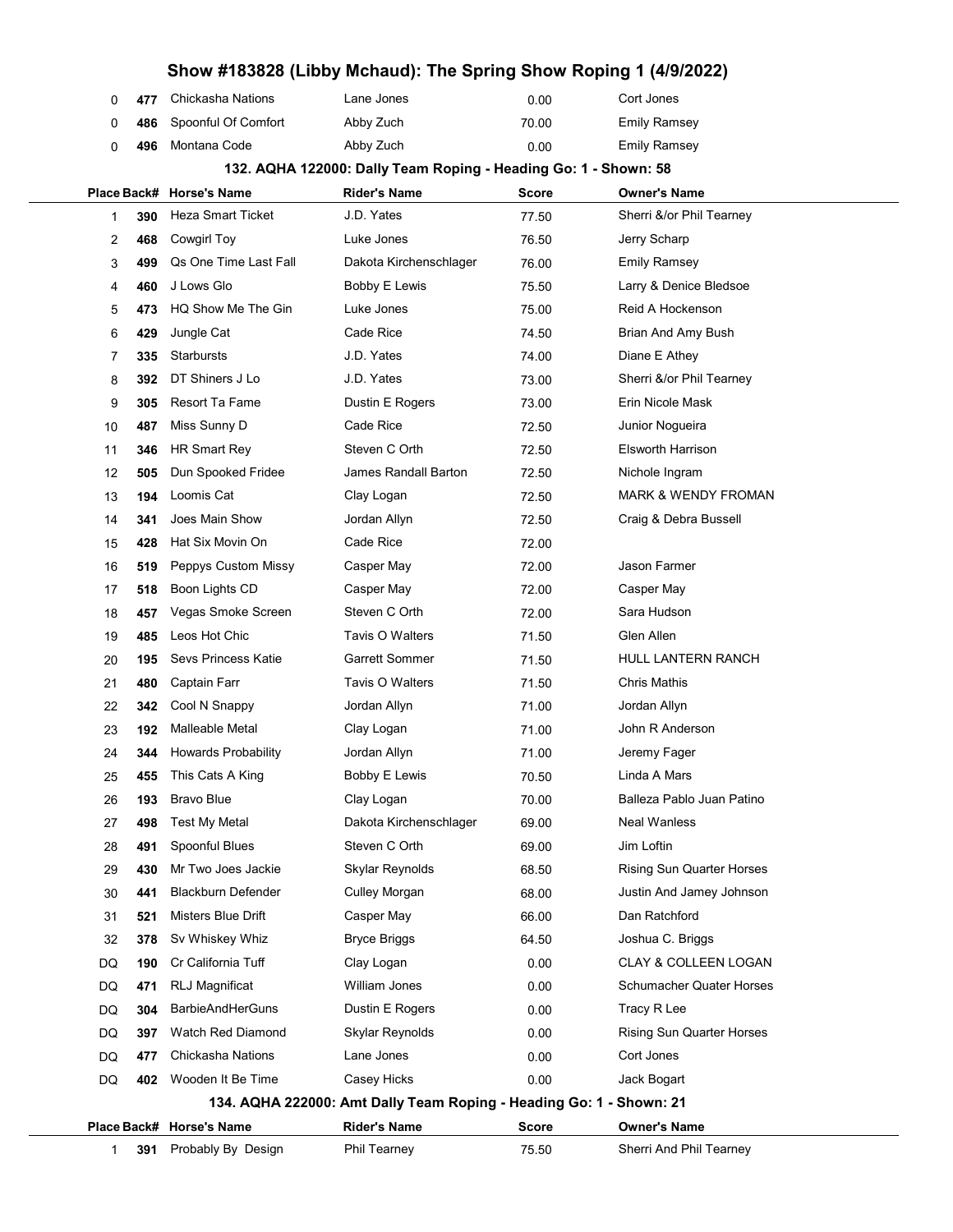|   | 0 477 | Chickasha Nations       | Lane Jones | 0.00  | Cort Jones          |
|---|-------|-------------------------|------------|-------|---------------------|
| 0 |       | 486 Spoonful Of Comfort | Abby Zuch  | 70.00 | Emily Ramsey        |
| 0 |       | 496 Montana Code        | Abby Zuch  | 0.00  | <b>Emily Ramsey</b> |

# 132. AQHA 122000: Dally Team Roping - Heading Go: 1 - Shown: 58

|    |     | Place Back# Horse's Name   | <b>Rider's Name</b>                                                 | Score        | <b>Owner's Name</b>              |
|----|-----|----------------------------|---------------------------------------------------------------------|--------------|----------------------------------|
| 1  | 390 | <b>Heza Smart Ticket</b>   | J.D. Yates                                                          | 77.50        | Sherri &/or Phil Tearney         |
| 2  | 468 | Cowgirl Toy                | Luke Jones                                                          | 76.50        | Jerry Scharp                     |
| 3  | 499 | Qs One Time Last Fall      | Dakota Kirchenschlager                                              | 76.00        | Emily Ramsey                     |
| 4  | 460 | J Lows Glo                 | Bobby E Lewis                                                       | 75.50        | Larry & Denice Bledsoe           |
| 5  | 473 | HQ Show Me The Gin         | Luke Jones                                                          | 75.00        | Reid A Hockenson                 |
| 6  | 429 | Jungle Cat                 | Cade Rice                                                           | 74.50        | Brian And Amy Bush               |
| 7  | 335 | Starbursts                 | J.D. Yates                                                          | 74.00        | Diane E Athey                    |
| 8  | 392 | DT Shiners J Lo            | J.D. Yates                                                          | 73.00        | Sherri &/or Phil Tearney         |
| 9  | 305 | Resort Ta Fame             | Dustin E Rogers                                                     | 73.00        | Erin Nicole Mask                 |
| 10 | 487 | Miss Sunny D               | Cade Rice                                                           | 72.50        | Junior Nogueira                  |
| 11 | 346 | HR Smart Rey               | Steven C Orth                                                       | 72.50        | <b>Elsworth Harrison</b>         |
| 12 | 505 | Dun Spooked Fridee         | James Randall Barton                                                | 72.50        | Nichole Ingram                   |
| 13 | 194 | Loomis Cat                 | Clay Logan                                                          | 72.50        | <b>MARK &amp; WENDY FROMAN</b>   |
| 14 | 341 | Joes Main Show             | Jordan Allyn                                                        | 72.50        | Craig & Debra Bussell            |
| 15 | 428 | Hat Six Movin On           | Cade Rice                                                           | 72.00        |                                  |
| 16 | 519 | Peppys Custom Missy        | Casper May                                                          | 72.00        | <b>Jason Farmer</b>              |
| 17 | 518 | Boon Lights CD             | Casper May                                                          | 72.00        | Casper May                       |
| 18 | 457 | Vegas Smoke Screen         | Steven C Orth                                                       | 72.00        | Sara Hudson                      |
| 19 | 485 | Leos Hot Chic              | Tavis O Walters                                                     | 71.50        | Glen Allen                       |
| 20 | 195 | Sevs Princess Katie        | <b>Garrett Sommer</b>                                               | 71.50        | <b>HULL LANTERN RANCH</b>        |
| 21 | 480 | Captain Farr               | Tavis O Walters                                                     | 71.50        | <b>Chris Mathis</b>              |
| 22 | 342 | Cool N Snappy              | Jordan Allyn                                                        | 71.00        | Jordan Allyn                     |
| 23 | 192 | Malleable Metal            | Clay Logan                                                          | 71.00        | John R Anderson                  |
| 24 | 344 | <b>Howards Probability</b> | Jordan Allyn                                                        | 71.00        | Jeremy Fager                     |
| 25 | 455 | This Cats A King           | Bobby E Lewis                                                       | 70.50        | Linda A Mars                     |
| 26 | 193 | <b>Bravo Blue</b>          | Clay Logan                                                          | 70.00        | Balleza Pablo Juan Patino        |
| 27 | 498 | Test My Metal              | Dakota Kirchenschlager                                              | 69.00        | <b>Neal Wanless</b>              |
| 28 | 491 | Spoonful Blues             | Steven C Orth                                                       | 69.00        | Jim Loftin                       |
| 29 | 430 | Mr Two Joes Jackie         | Skylar Reynolds                                                     | 68.50        | <b>Rising Sun Quarter Horses</b> |
| 30 | 441 | <b>Blackburn Defender</b>  | <b>Culley Morgan</b>                                                | 68.00        | Justin And Jamey Johnson         |
| 31 | 521 | Misters Blue Drift         | Casper May                                                          | 66.00        | Dan Ratchford                    |
| 32 | 378 | Sv Whiskey Whiz            | <b>Bryce Briggs</b>                                                 | 64.50        | Joshua C. Briggs                 |
| DQ | 190 | Cr California Tuff         | Clay Logan                                                          | 0.00         | CLAY & COLLEEN LOGAN             |
| DQ | 471 | <b>RLJ Magnificat</b>      | William Jones                                                       | 0.00         | <b>Schumacher Quater Horses</b>  |
| DQ | 304 | <b>BarbieAndHerGuns</b>    | Dustin E Rogers                                                     | 0.00         | Tracy R Lee                      |
| DQ | 397 | Watch Red Diamond          | Skylar Reynolds                                                     | 0.00         | Rising Sun Quarter Horses        |
| DQ | 477 | Chickasha Nations          | Lane Jones                                                          | 0.00         | Cort Jones                       |
| DQ | 402 | Wooden It Be Time          | Casey Hicks                                                         | 0.00         | Jack Bogart                      |
|    |     |                            | 134. AQHA 222000: Amt Dally Team Roping - Heading Go: 1 - Shown: 21 |              |                                  |
|    |     | Place Back# Horse's Name   | <b>Rider's Name</b>                                                 | <b>Score</b> | <b>Owner's Name</b>              |
| 1  | 391 | Probably By Design         | Phil Tearney                                                        | 75.50        | Sherri And Phil Tearney          |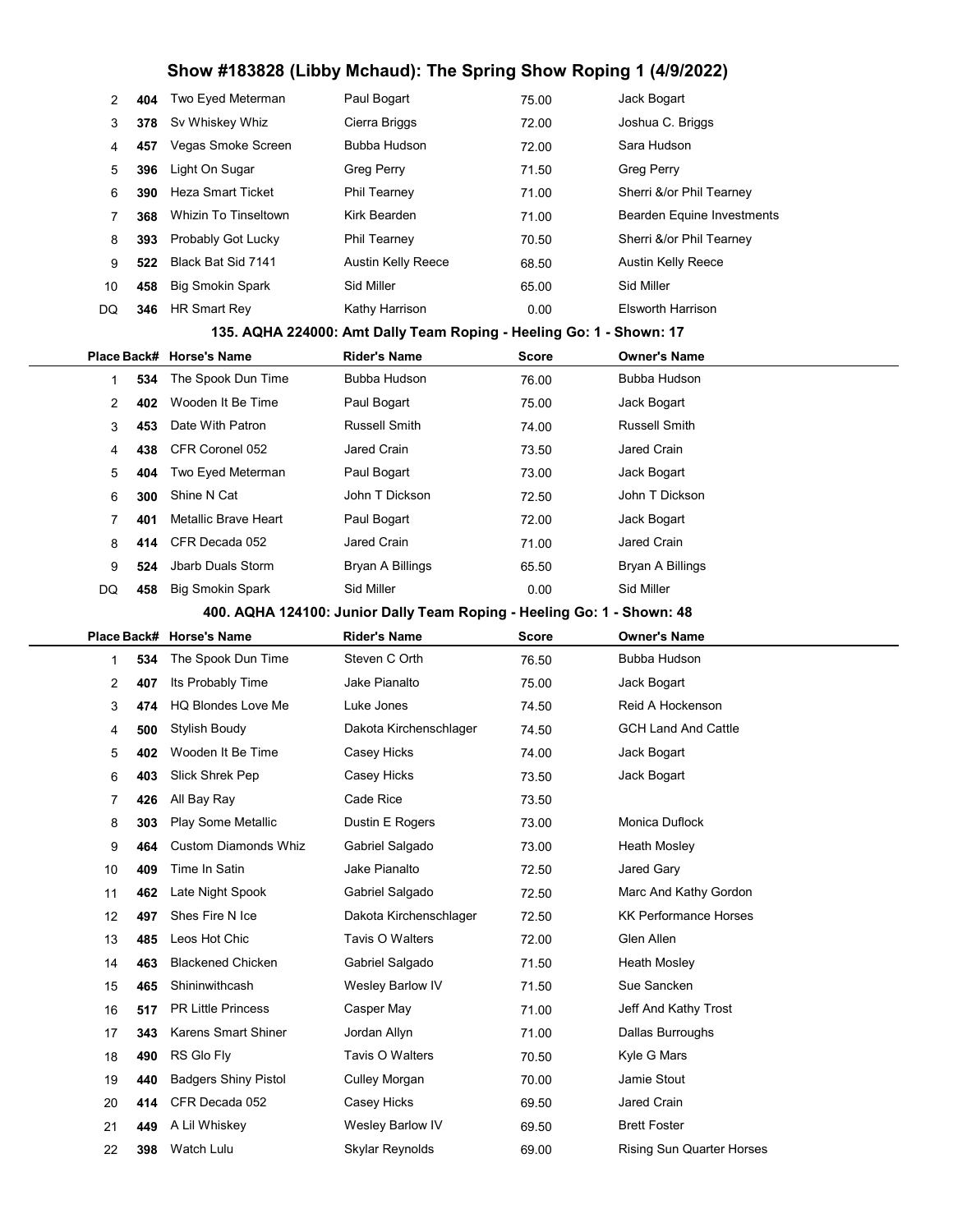| 2  | 404 | Two Eyed Meterman           | Paul Bogart                                                            | 75.00        | Jack Bogart                                             |
|----|-----|-----------------------------|------------------------------------------------------------------------|--------------|---------------------------------------------------------|
| 3  | 378 | Sv Whiskey Whiz             | Cierra Briggs                                                          | 72.00        | Joshua C. Briggs                                        |
| 4  | 457 | Vegas Smoke Screen          | Bubba Hudson                                                           | 72.00        | Sara Hudson                                             |
| 5  | 396 | Light On Sugar              | <b>Greg Perry</b>                                                      | 71.50        | <b>Greg Perry</b>                                       |
| 6  | 390 | <b>Heza Smart Ticket</b>    | Phil Tearney                                                           | 71.00        | Sherri &/or Phil Tearney                                |
| 7  | 368 | Whizin To Tinseltown        | Kirk Bearden                                                           | 71.00        | Bearden Equine Investments                              |
| 8  | 393 | Probably Got Lucky          | <b>Phil Tearney</b>                                                    | 70.50        | Sherri &/or Phil Tearney                                |
| 9  | 522 | Black Bat Sid 7141          | Austin Kelly Reece                                                     | 68.50        | Austin Kelly Reece                                      |
| 10 | 458 | <b>Big Smokin Spark</b>     | Sid Miller                                                             | 65.00        | Sid Miller                                              |
| DQ | 346 | <b>HR Smart Rev</b>         | Kathy Harrison                                                         | 0.00         | <b>Elsworth Harrison</b>                                |
|    |     |                             | 135. AQHA 224000: Amt Dally Team Roping - Heeling Go: 1 - Shown: 17    |              |                                                         |
|    |     | Place Back# Horse's Name    | <b>Rider's Name</b>                                                    | <b>Score</b> | <b>Owner's Name</b>                                     |
| 1  | 534 | The Spook Dun Time          | Bubba Hudson                                                           | 76.00        | Bubba Hudson                                            |
| 2  | 402 | Wooden It Be Time           | Paul Bogart                                                            | 75.00        | Jack Bogart                                             |
| 3  | 453 | Date With Patron            | Russell Smith                                                          | 74.00        | <b>Russell Smith</b>                                    |
| 4  | 438 | CFR Coronel 052             | Jared Crain                                                            | 73.50        | Jared Crain                                             |
| 5  | 404 | Two Eyed Meterman           | Paul Bogart                                                            | 73.00        | Jack Bogart                                             |
| 6  | 300 | Shine N Cat                 | John T Dickson                                                         | 72.50        | John T Dickson                                          |
| 7  | 401 | Metallic Brave Heart        | Paul Bogart                                                            | 72.00        | Jack Bogart                                             |
| 8  | 414 | CFR Decada 052              | Jared Crain                                                            | 71.00        | Jared Crain                                             |
| 9  | 524 | Jbarb Duals Storm           | Bryan A Billings                                                       | 65.50        | Bryan A Billings                                        |
| DQ | 458 | <b>Big Smokin Spark</b>     | Sid Miller                                                             | 0.00         | Sid Miller                                              |
|    |     |                             | 400. AQHA 124100: Junior Dally Team Roping - Heeling Go: 1 - Shown: 48 |              |                                                         |
|    |     |                             |                                                                        |              |                                                         |
|    |     | Place Back# Horse's Name    | <b>Rider's Name</b>                                                    | <b>Score</b> | <b>Owner's Name</b>                                     |
| 1  | 534 | The Spook Dun Time          | Steven C Orth                                                          | 76.50        | Bubba Hudson                                            |
| 2  | 407 | Its Probably Time           | Jake Pianalto                                                          | 75.00        | Jack Bogart                                             |
| 3  | 474 | <b>HQ Blondes Love Me</b>   | Luke Jones                                                             | 74.50        | Reid A Hockenson                                        |
| 4  | 500 | Stylish Boudy               | Dakota Kirchenschlager                                                 | 74.50        | <b>GCH Land And Cattle</b>                              |
| 5  | 402 | Wooden It Be Time           | Casey Hicks                                                            | 74.00        | Jack Bogart                                             |
| 6  | 403 | Slick Shrek Pep             | Casey Hicks                                                            | 73.50        | Jack Bogart                                             |
| 7  | 426 | All Bay Ray                 | Cade Rice                                                              | 73.50        |                                                         |
| 8  | 303 | Play Some Metallic          | Dustin E Rogers                                                        | 73.00        | Monica Duflock                                          |
| 9  | 464 | <b>Custom Diamonds Whiz</b> | Gabriel Salgado                                                        | 73.00        | Heath Mosley                                            |
| 10 | 409 | Time In Satin               | Jake Pianalto                                                          | 72.50        | Jared Gary                                              |
| 11 | 462 | Late Night Spook            | Gabriel Salgado                                                        | 72.50        | Marc And Kathy Gordon                                   |
| 12 | 497 | Shes Fire N Ice             | Dakota Kirchenschlager                                                 | 72.50        | <b>KK Performance Horses</b>                            |
| 13 | 485 | Leos Hot Chic               | Tavis O Walters                                                        | 72.00        | Glen Allen                                              |
| 14 | 463 | <b>Blackened Chicken</b>    | Gabriel Salgado                                                        | 71.50        | Heath Mosley                                            |
| 15 | 465 | Shininwithcash              | Wesley Barlow IV                                                       | 71.50        | Sue Sancken                                             |
| 16 | 517 | <b>PR Little Princess</b>   | Casper May                                                             | 71.00        | Jeff And Kathy Trost                                    |
| 17 | 343 | <b>Karens Smart Shiner</b>  | Jordan Allyn                                                           | 71.00        | Dallas Burroughs                                        |
| 18 | 490 | RS Glo Fly                  | Tavis O Walters                                                        | 70.50        | Kyle G Mars                                             |
| 19 | 440 | <b>Badgers Shiny Pistol</b> | <b>Culley Morgan</b>                                                   | 70.00        | Jamie Stout                                             |
| 20 | 414 | CFR Decada 052              | Casey Hicks                                                            | 69.50        | Jared Crain                                             |
| 21 | 449 | A Lil Whiskey<br>Watch Lulu | Wesley Barlow IV<br>Skylar Reynolds                                    | 69.50        | <b>Brett Foster</b><br><b>Rising Sun Quarter Horses</b> |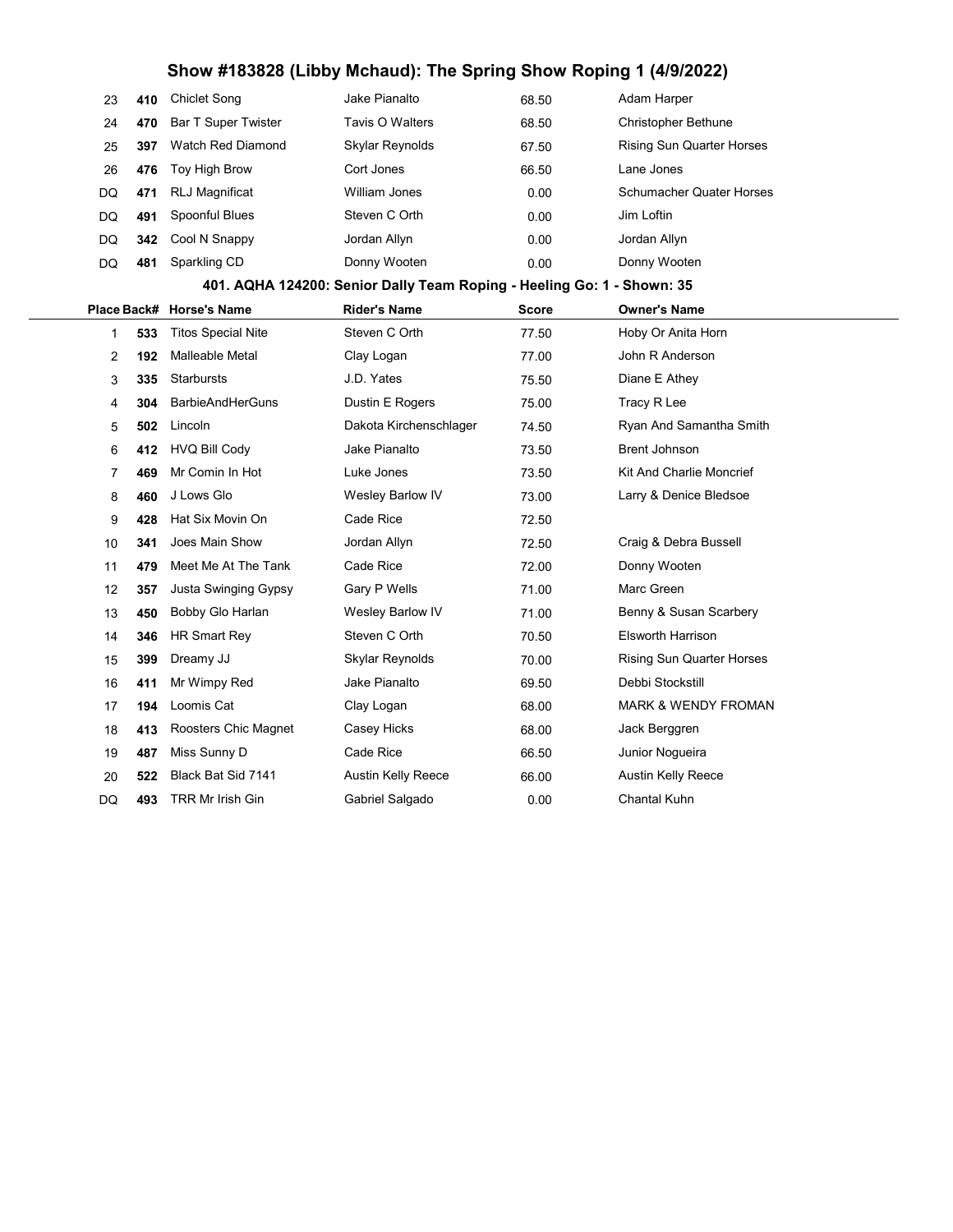| 23             | 410 | <b>Chiclet Song</b>        | Jake Pianalto                                                          | 68.50        | Adam Harper                      |
|----------------|-----|----------------------------|------------------------------------------------------------------------|--------------|----------------------------------|
| 24             | 470 | <b>Bar T Super Twister</b> | Tavis O Walters                                                        | 68.50        | <b>Christopher Bethune</b>       |
| 25             | 397 | <b>Watch Red Diamond</b>   | Skylar Reynolds                                                        | 67.50        | <b>Rising Sun Quarter Horses</b> |
| 26             | 476 | Toy High Brow              | Cort Jones                                                             | 66.50        | Lane Jones                       |
| DQ             | 471 | <b>RLJ Magnificat</b>      | William Jones                                                          | 0.00         | <b>Schumacher Quater Horses</b>  |
| DQ             | 491 | Spoonful Blues             | Steven C Orth                                                          | 0.00         | Jim Loftin                       |
| DQ             | 342 | Cool N Snappy              | Jordan Allyn                                                           | 0.00         | Jordan Allyn                     |
| DQ             | 481 | Sparkling CD               | Donny Wooten                                                           | 0.00         | Donny Wooten                     |
|                |     |                            | 401. AQHA 124200: Senior Dally Team Roping - Heeling Go: 1 - Shown: 35 |              |                                  |
| Place Back#    |     | <b>Horse's Name</b>        | <b>Rider's Name</b>                                                    | <b>Score</b> | <b>Owner's Name</b>              |
| $\mathbf 1$    | 533 | <b>Titos Special Nite</b>  | Steven C Orth                                                          | 77.50        | Hoby Or Anita Horn               |
| $\overline{2}$ | 192 | Malleable Metal            | Clay Logan                                                             | 77.00        | John R Anderson                  |
| 3              | 335 | <b>Starbursts</b>          | J.D. Yates                                                             | 75.50        | Diane E Athey                    |
| 4              | 304 | <b>BarbieAndHerGuns</b>    | Dustin E Rogers                                                        | 75.00        | Tracy R Lee                      |
| 5              | 502 | Lincoln                    | Dakota Kirchenschlager                                                 | 74.50        | Ryan And Samantha Smith          |
| 6              | 412 | <b>HVQ Bill Cody</b>       | Jake Pianalto                                                          | 73.50        | <b>Brent Johnson</b>             |
| 7              | 469 | Mr Comin In Hot            | Luke Jones                                                             | 73.50        | Kit And Charlie Moncrief         |
| 8              | 460 | J Lows Glo                 | Wesley Barlow IV                                                       | 73.00        | Larry & Denice Bledsoe           |
| 9              | 428 | Hat Six Movin On           | Cade Rice                                                              | 72.50        |                                  |
| 10             | 341 | Joes Main Show             | Jordan Allyn                                                           | 72.50        | Craig & Debra Bussell            |
| 11             | 479 | Meet Me At The Tank        | Cade Rice                                                              | 72.00        | Donny Wooten                     |
| 12             | 357 | Justa Swinging Gypsy       | Gary P Wells                                                           | 71.00        | Marc Green                       |
| 13             | 450 | Bobby Glo Harlan           | Wesley Barlow IV                                                       | 71.00        | Benny & Susan Scarbery           |
| 14             | 346 | <b>HR Smart Rey</b>        | Steven C Orth                                                          | 70.50        | <b>Elsworth Harrison</b>         |
| 15             | 399 | Dreamy JJ                  | Skylar Reynolds                                                        | 70.00        | <b>Rising Sun Quarter Horses</b> |
| 16             | 411 | Mr Wimpy Red               | Jake Pianalto                                                          | 69.50        | Debbi Stockstill                 |
| 17             | 194 | Loomis Cat                 | Clay Logan                                                             | 68.00        | <b>MARK &amp; WENDY FROMAN</b>   |
| 18             | 413 | Roosters Chic Magnet       | Casey Hicks                                                            | 68.00        | Jack Berggren                    |
| 19             | 487 | Miss Sunny D               | Cade Rice                                                              | 66.50        | Junior Nogueira                  |
| 20             | 522 | Black Bat Sid 7141         | <b>Austin Kelly Reece</b>                                              | 66.00        | <b>Austin Kelly Reece</b>        |
| DQ             | 493 | TRR Mr Irish Gin           | Gabriel Salgado                                                        | 0.00         | Chantal Kuhn                     |
|                |     |                            |                                                                        |              |                                  |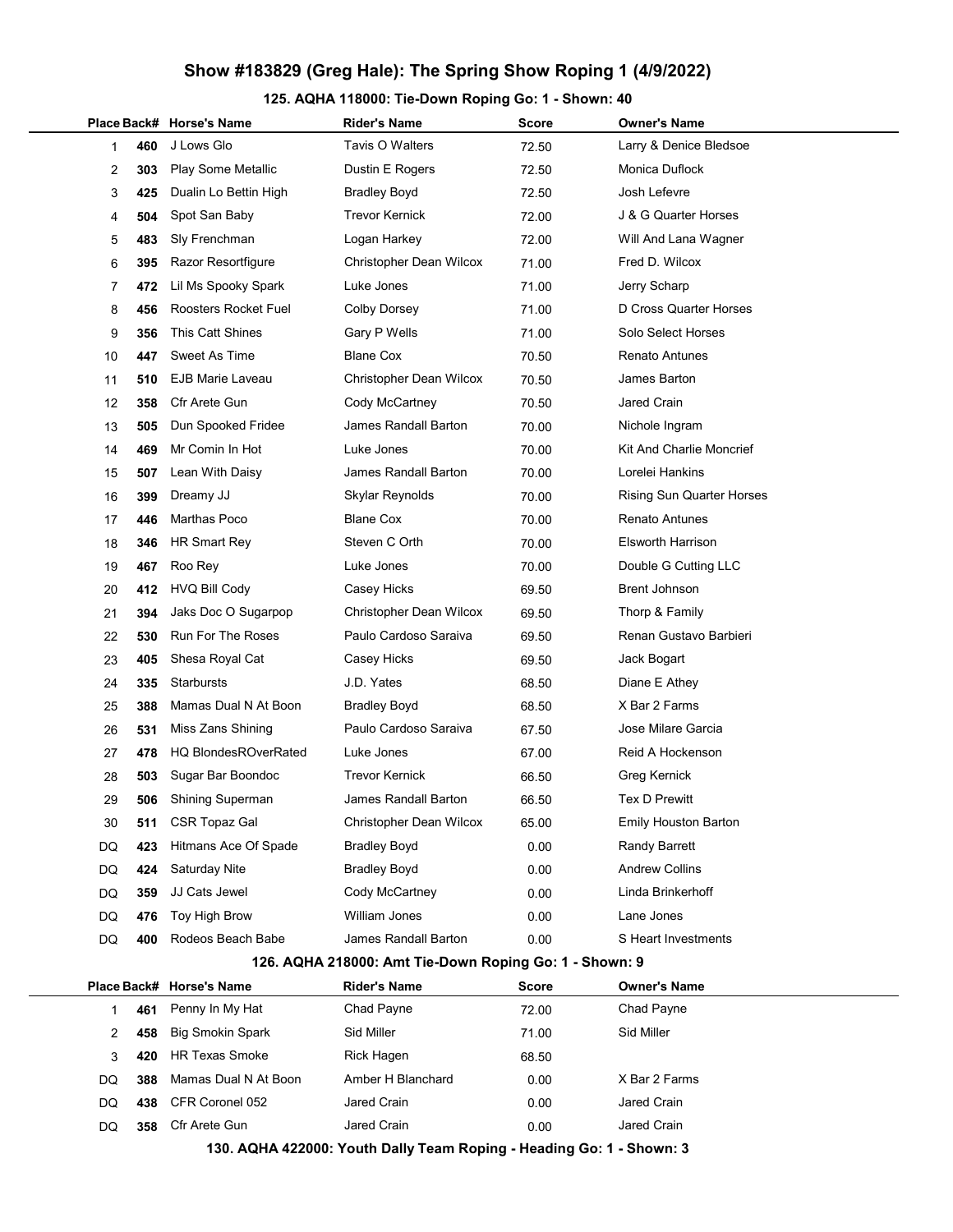### Show #183829 (Greg Hale): The Spring Show Roping 1 (4/9/2022)

#### 125. AQHA 118000: Tie-Down Roping Go: 1 - Shown: 40

|             |     | Place Back# Horse's Name    | <b>Rider's Name</b>                                    | Score        | <b>Owner's Name</b>              |
|-------------|-----|-----------------------------|--------------------------------------------------------|--------------|----------------------------------|
| 1           | 460 | J Lows Glo                  | Tavis O Walters                                        | 72.50        | Larry & Denice Bledsoe           |
| 2           | 303 | Play Some Metallic          | Dustin E Rogers                                        | 72.50        | Monica Duflock                   |
| 3           | 425 | Dualin Lo Bettin High       | <b>Bradley Boyd</b>                                    | 72.50        | Josh Lefevre                     |
| 4           | 504 | Spot San Baby               | Trevor Kernick                                         | 72.00        | J & G Quarter Horses             |
| 5           | 483 | Sly Frenchman               | Logan Harkey                                           | 72.00        | Will And Lana Wagner             |
| 6           | 395 | Razor Resortfigure          | Christopher Dean Wilcox                                | 71.00        | Fred D. Wilcox                   |
| 7           | 472 | Lil Ms Spooky Spark         | Luke Jones                                             | 71.00        | Jerry Scharp                     |
| 8           | 456 | Roosters Rocket Fuel        | <b>Colby Dorsey</b>                                    | 71.00        | D Cross Quarter Horses           |
| 9           | 356 | <b>This Catt Shines</b>     | Gary P Wells                                           | 71.00        | Solo Select Horses               |
| 10          | 447 | Sweet As Time               | <b>Blane Cox</b>                                       | 70.50        | <b>Renato Antunes</b>            |
| 11          | 510 | <b>EJB Marie Laveau</b>     | Christopher Dean Wilcox                                | 70.50        | James Barton                     |
| 12          | 358 | Cfr Arete Gun               | Cody McCartney                                         | 70.50        | Jared Crain                      |
| 13          | 505 | Dun Spooked Fridee          | James Randall Barton                                   | 70.00        | Nichole Ingram                   |
| 14          | 469 | Mr Comin In Hot             | Luke Jones                                             | 70.00        | Kit And Charlie Moncrief         |
| 15          | 507 | Lean With Daisy             | James Randall Barton                                   | 70.00        | Lorelei Hankins                  |
| 16          | 399 | Dreamy JJ                   | Skylar Reynolds                                        | 70.00        | <b>Rising Sun Quarter Horses</b> |
| 17          | 446 | Marthas Poco                | <b>Blane Cox</b>                                       | 70.00        | <b>Renato Antunes</b>            |
| 18          | 346 | <b>HR Smart Rey</b>         | Steven C Orth                                          | 70.00        | <b>Elsworth Harrison</b>         |
| 19          | 467 | Roo Rey                     | Luke Jones                                             | 70.00        | Double G Cutting LLC             |
| 20          | 412 | <b>HVQ Bill Cody</b>        | Casey Hicks                                            | 69.50        | Brent Johnson                    |
| 21          | 394 | Jaks Doc O Sugarpop         | Christopher Dean Wilcox                                | 69.50        | Thorp & Family                   |
| 22          | 530 | <b>Run For The Roses</b>    | Paulo Cardoso Saraiva                                  | 69.50        | Renan Gustavo Barbieri           |
| 23          | 405 | Shesa Royal Cat             | Casey Hicks                                            | 69.50        | Jack Bogart                      |
| 24          | 335 | Starbursts                  | J.D. Yates                                             | 68.50        | Diane E Athey                    |
| 25          | 388 | Mamas Dual N At Boon        | <b>Bradley Boyd</b>                                    | 68.50        | X Bar 2 Farms                    |
| 26          | 531 | Miss Zans Shining           | Paulo Cardoso Saraiva                                  | 67.50        | Jose Milare Garcia               |
| 27          | 478 | <b>HQ BlondesROverRated</b> | Luke Jones                                             | 67.00        | Reid A Hockenson                 |
| 28          | 503 | Sugar Bar Boondoc           | <b>Trevor Kernick</b>                                  | 66.50        | Greg Kernick                     |
| 29          | 506 | <b>Shining Superman</b>     | James Randall Barton                                   | 66.50        | <b>Tex D Prewitt</b>             |
| 30          | 511 | <b>CSR Topaz Gal</b>        | Christopher Dean Wilcox                                | 65.00        | Emily Houston Barton             |
| DQ          | 423 | Hitmans Ace Of Spade        | <b>Bradley Boyd</b>                                    | 0.00         | Randy Barrett                    |
| DQ          | 424 | Saturday Nite               | <b>Bradley Boyd</b>                                    | 0.00         | <b>Andrew Collins</b>            |
| DQ          | 359 | JJ Cats Jewel               | Cody McCartney                                         | 0.00         | Linda Brinkerhoff                |
| DQ          | 476 | Toy High Brow               | <b>William Jones</b>                                   | 0.00         | Lane Jones                       |
| DQ          | 400 | Rodeos Beach Babe           | <b>James Randall Barton</b>                            | 0.00         | S Heart Investments              |
|             |     |                             | 126. AQHA 218000: Amt Tie-Down Roping Go: 1 - Shown: 9 |              |                                  |
| Place Back# |     | <b>Horse's Name</b>         | <b>Rider's Name</b>                                    | <b>Score</b> | <b>Owner's Name</b>              |
| 1           | 461 | Penny In My Hat             | Chad Payne                                             | 72.00        | Chad Payne                       |
| 2           | 458 | <b>Big Smokin Spark</b>     | Sid Miller                                             | 71.00        | Sid Miller                       |
| 3           | 420 | HR Texas Smoke              | Rick Hagen                                             | 68.50        |                                  |
| DQ          | 388 | Mamas Dual N At Boon        | Amber H Blanchard                                      | 0.00         | X Bar 2 Farms                    |

DQ 358 Cfr Arete Gun Jared Crain 0.00 Jared Crain 130. AQHA 422000: Youth Dally Team Roping - Heading Go: 1 - Shown: 3

DQ 438 CFR Coronel 052 Jared Crain **DQ 438 CFR** Coronel 052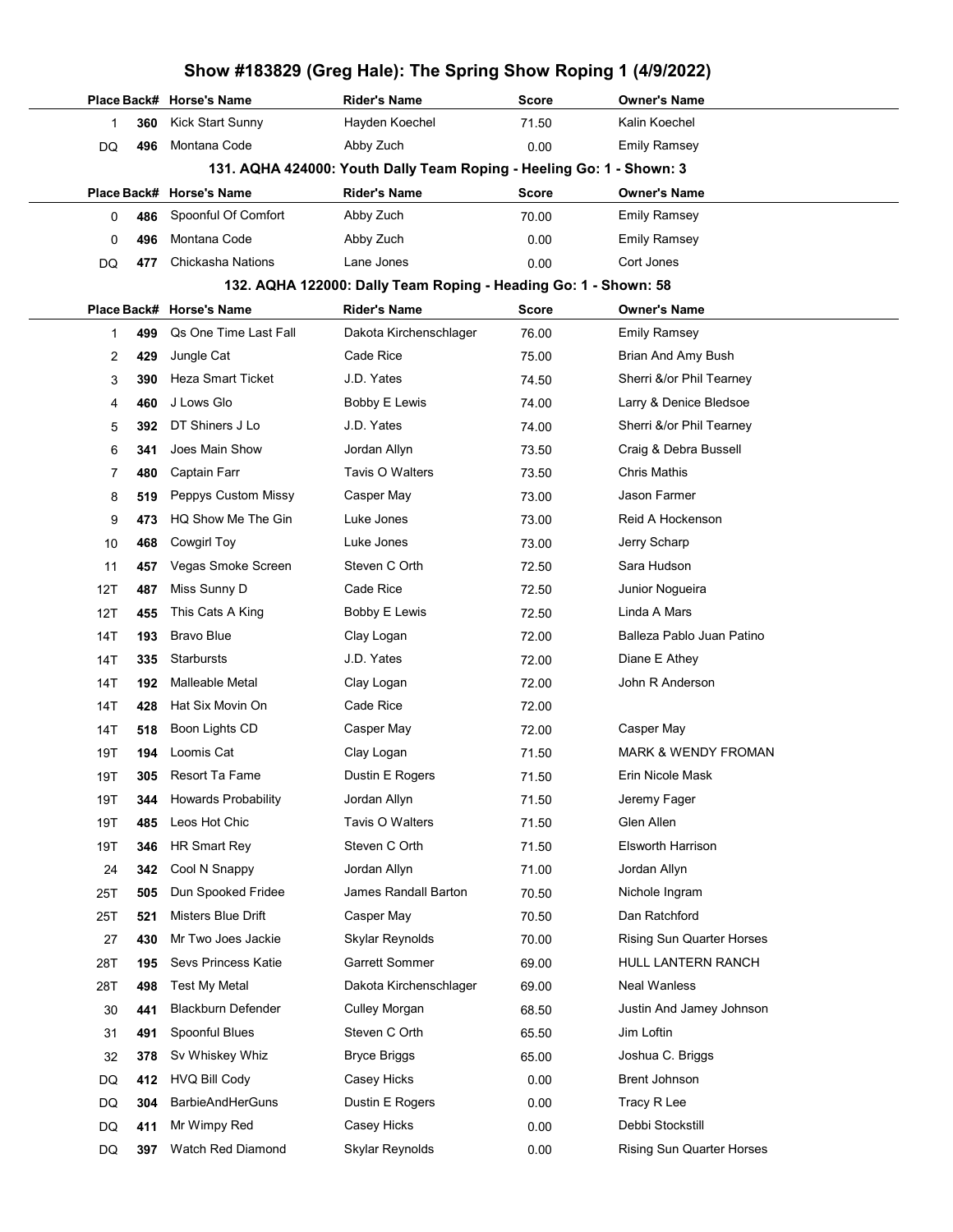|     |     |                            | Show #183829 (Greg Hale): The Spring Show Roping 1 (4/9/2022)        |              |                                  |
|-----|-----|----------------------------|----------------------------------------------------------------------|--------------|----------------------------------|
|     |     | Place Back# Horse's Name   | <b>Rider's Name</b>                                                  | Score        | <b>Owner's Name</b>              |
| 1   | 360 | <b>Kick Start Sunny</b>    | Hayden Koechel                                                       | 71.50        | Kalin Koechel                    |
| DQ  | 496 | Montana Code               | Abby Zuch                                                            | 0.00         | <b>Emily Ramsey</b>              |
|     |     |                            | 131. AQHA 424000: Youth Dally Team Roping - Heeling Go: 1 - Shown: 3 |              |                                  |
|     |     | Place Back# Horse's Name   | <b>Rider's Name</b>                                                  | Score        | <b>Owner's Name</b>              |
| 0   | 486 | Spoonful Of Comfort        | Abby Zuch                                                            | 70.00        | <b>Emily Ramsey</b>              |
| 0   | 496 | Montana Code               | Abby Zuch                                                            | 0.00         | <b>Emily Ramsey</b>              |
| DQ  | 477 | Chickasha Nations          | Lane Jones                                                           | 0.00         | Cort Jones                       |
|     |     |                            | 132. AQHA 122000: Dally Team Roping - Heading Go: 1 - Shown: 58      |              |                                  |
|     |     | Place Back# Horse's Name   | <b>Rider's Name</b>                                                  | <b>Score</b> | <b>Owner's Name</b>              |
| 1   | 499 | Qs One Time Last Fall      | Dakota Kirchenschlager                                               | 76.00        | <b>Emily Ramsey</b>              |
| 2   | 429 | Jungle Cat                 | Cade Rice                                                            | 75.00        | Brian And Amy Bush               |
| 3   | 390 | <b>Heza Smart Ticket</b>   | J.D. Yates                                                           | 74.50        | Sherri &/or Phil Tearney         |
| 4   | 460 | J Lows Glo                 | <b>Bobby E Lewis</b>                                                 | 74.00        | Larry & Denice Bledsoe           |
| 5   | 392 | DT Shiners J Lo            | J.D. Yates                                                           | 74.00        | Sherri &/or Phil Tearney         |
| 6   | 341 | Joes Main Show             | Jordan Allyn                                                         | 73.50        | Craig & Debra Bussell            |
| 7   | 480 | Captain Farr               | Tavis O Walters                                                      | 73.50        | <b>Chris Mathis</b>              |
| 8   | 519 | Peppys Custom Missy        | Casper May                                                           | 73.00        | Jason Farmer                     |
| 9   | 473 | HQ Show Me The Gin         | Luke Jones                                                           | 73.00        | Reid A Hockenson                 |
| 10  | 468 | <b>Cowgirl Toy</b>         | Luke Jones                                                           | 73.00        | Jerry Scharp                     |
| 11  | 457 | Vegas Smoke Screen         | Steven C Orth                                                        | 72.50        | Sara Hudson                      |
| 12T | 487 | Miss Sunny D               | Cade Rice                                                            | 72.50        | Junior Nogueira                  |
| 12T | 455 | This Cats A King           | Bobby E Lewis                                                        | 72.50        | Linda A Mars                     |
| 14T | 193 | <b>Bravo Blue</b>          | Clay Logan                                                           | 72.00        | Balleza Pablo Juan Patino        |
| 14T | 335 | Starbursts                 | J.D. Yates                                                           | 72.00        | Diane E Athey                    |
| 14T | 192 | <b>Malleable Metal</b>     | Clay Logan                                                           | 72.00        | John R Anderson                  |
| 14T | 428 | Hat Six Movin On           | Cade Rice                                                            | 72.00        |                                  |
| 14T | 518 | Boon Lights CD             | Casper May                                                           | 72.00        | Casper May                       |
| 19T | 194 | Loomis Cat                 | Clay Logan                                                           | 71.50        | MARK & WENDY FROMAN              |
| 19T | 305 | Resort Ta Fame             | Dustin E Rogers                                                      | 71.50        | Erin Nicole Mask                 |
| 19T | 344 | <b>Howards Probability</b> | Jordan Allyn                                                         | 71.50        | Jeremy Fager                     |
| 19T | 485 | Leos Hot Chic              | Tavis O Walters                                                      | 71.50        | Glen Allen                       |
| 19T | 346 | HR Smart Rey               | Steven C Orth                                                        | 71.50        | <b>Elsworth Harrison</b>         |
| 24  | 342 | Cool N Snappy              | Jordan Allyn                                                         | 71.00        | Jordan Allyn                     |
| 25T | 505 | Dun Spooked Fridee         | James Randall Barton                                                 | 70.50        | Nichole Ingram                   |
| 25T | 521 | Misters Blue Drift         | Casper May                                                           | 70.50        | Dan Ratchford                    |
| 27  | 430 | Mr Two Joes Jackie         | Skylar Reynolds                                                      | 70.00        | <b>Rising Sun Quarter Horses</b> |
| 28T | 195 | Sevs Princess Katie        | <b>Garrett Sommer</b>                                                | 69.00        | HULL LANTERN RANCH               |
| 28T | 498 | Test My Metal              | Dakota Kirchenschlager                                               | 69.00        | Neal Wanless                     |
| 30  | 441 | <b>Blackburn Defender</b>  | <b>Culley Morgan</b>                                                 | 68.50        | Justin And Jamey Johnson         |
| 31  | 491 | Spoonful Blues             | Steven C Orth                                                        | 65.50        | Jim Loftin                       |
| 32  | 378 | Sv Whiskey Whiz            | <b>Bryce Briggs</b>                                                  | 65.00        | Joshua C. Briggs                 |
| DQ  | 412 | <b>HVQ Bill Cody</b>       | Casey Hicks                                                          | 0.00         | <b>Brent Johnson</b>             |
| DQ  | 304 | <b>BarbieAndHerGuns</b>    | Dustin E Rogers                                                      | 0.00         | Tracy R Lee                      |
| DQ  | 411 | Mr Wimpy Red               | Casey Hicks                                                          | 0.00         | Debbi Stockstill                 |
| DQ  | 397 | Watch Red Diamond          | Skylar Reynolds                                                      | 0.00         | Rising Sun Quarter Horses        |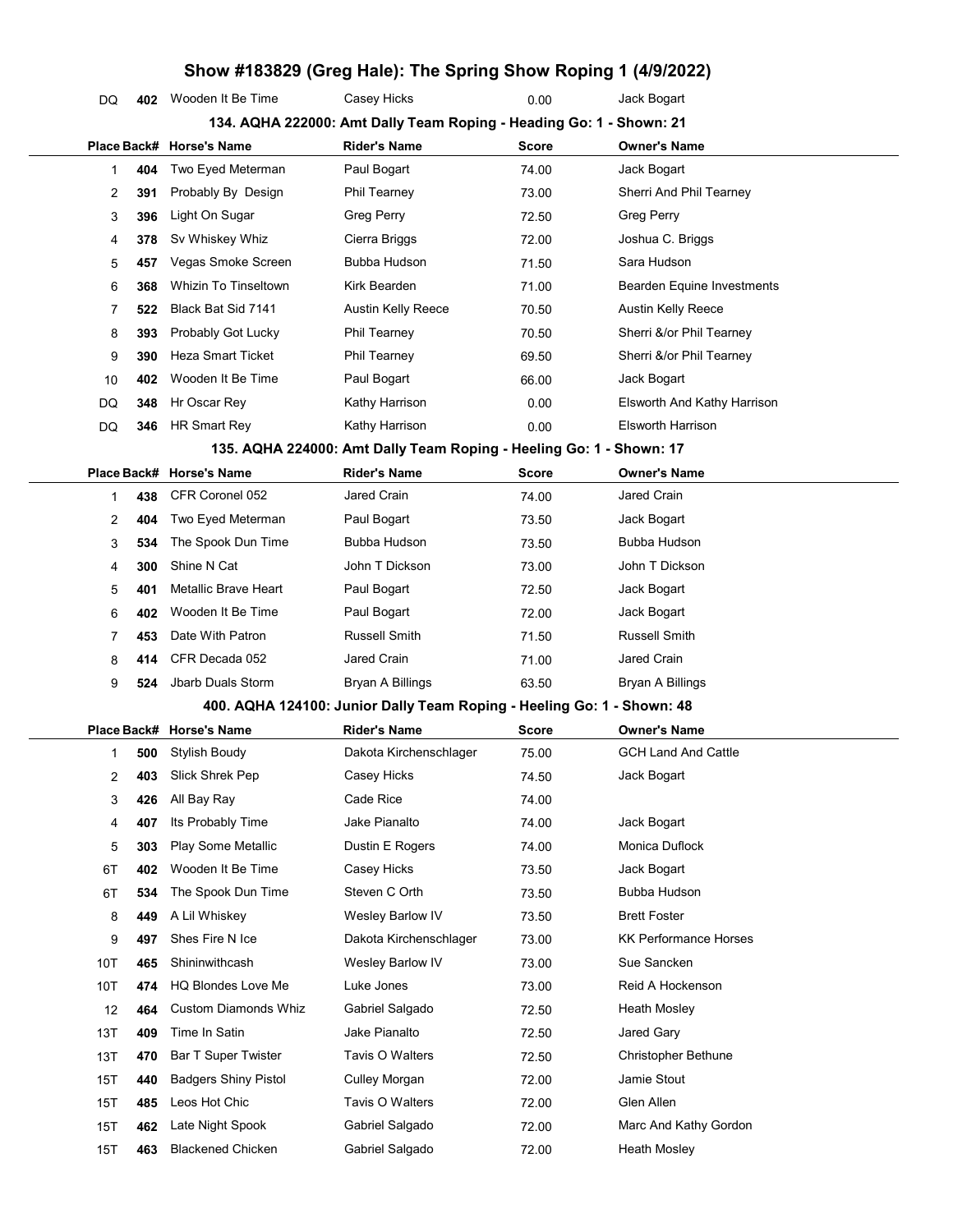|             |     |                             | Show #183829 (Greg Hale): The Spring Show Roping 1 (4/9/2022)          |              |                                   |
|-------------|-----|-----------------------------|------------------------------------------------------------------------|--------------|-----------------------------------|
| DQ          | 402 | Wooden It Be Time           | Casey Hicks                                                            | 0.00         | Jack Bogart                       |
|             |     |                             | 134. AQHA 222000: Amt Dally Team Roping - Heading Go: 1 - Shown: 21    |              |                                   |
| Place Back# |     | <b>Horse's Name</b>         | <b>Rider's Name</b>                                                    | <b>Score</b> | <b>Owner's Name</b>               |
| 1           | 404 | Two Eyed Meterman           | Paul Bogart                                                            | 74.00        | Jack Bogart                       |
| 2           | 391 | Probably By Design          | Phil Tearney                                                           | 73.00        | Sherri And Phil Tearney           |
| 3           | 396 | Light On Sugar              | <b>Greg Perry</b>                                                      | 72.50        | <b>Greg Perry</b>                 |
| 4           | 378 | Sv Whiskey Whiz             | Cierra Briggs                                                          | 72.00        | Joshua C. Briggs                  |
| 5           | 457 | Vegas Smoke Screen          | Bubba Hudson                                                           | 71.50        | Sara Hudson                       |
| 6           | 368 | <b>Whizin To Tinseltown</b> | Kirk Bearden                                                           | 71.00        | <b>Bearden Equine Investments</b> |
| 7           | 522 | Black Bat Sid 7141          | Austin Kelly Reece                                                     | 70.50        | Austin Kelly Reece                |
| 8           | 393 | Probably Got Lucky          | Phil Tearney                                                           | 70.50        | Sherri &/or Phil Tearney          |
| 9           | 390 | <b>Heza Smart Ticket</b>    | Phil Tearney                                                           | 69.50        | Sherri &/or Phil Tearney          |
| 10          | 402 | Wooden It Be Time           | Paul Bogart                                                            | 66.00        | Jack Bogart                       |
| DQ          | 348 | Hr Oscar Rey                | Kathy Harrison                                                         | 0.00         | Elsworth And Kathy Harrison       |
| DQ          | 346 | <b>HR Smart Rey</b>         | Kathy Harrison                                                         | 0.00         | <b>Elsworth Harrison</b>          |
|             |     |                             | 135. AQHA 224000: Amt Dally Team Roping - Heeling Go: 1 - Shown: 17    |              |                                   |
| Place Back# |     | <b>Horse's Name</b>         | <b>Rider's Name</b>                                                    | <b>Score</b> | <b>Owner's Name</b>               |
| 1           | 438 | CFR Coronel 052             | Jared Crain                                                            | 74.00        | Jared Crain                       |
| 2           | 404 | Two Eyed Meterman           | Paul Bogart                                                            | 73.50        | Jack Bogart                       |
| 3           | 534 | The Spook Dun Time          | Bubba Hudson                                                           | 73.50        | Bubba Hudson                      |
| 4           | 300 | Shine N Cat                 | John T Dickson                                                         | 73.00        | John T Dickson                    |
| 5           | 401 | Metallic Brave Heart        | Paul Bogart                                                            | 72.50        | Jack Bogart                       |
| 6           | 402 | Wooden It Be Time           | Paul Bogart                                                            | 72.00        | Jack Bogart                       |
| 7           | 453 | Date With Patron            | Russell Smith                                                          | 71.50        | <b>Russell Smith</b>              |
| 8           | 414 | CFR Decada 052              | Jared Crain                                                            | 71.00        | Jared Crain                       |
| 9           | 524 | <b>Jbarb Duals Storm</b>    | Bryan A Billings                                                       | 63.50        | <b>Bryan A Billings</b>           |
|             |     |                             | 400. AQHA 124100: Junior Dally Team Roping - Heeling Go: 1 - Shown: 48 |              |                                   |
|             |     | Place Back# Horse's Name    | <b>Rider's Name</b>                                                    | <b>Score</b> | <b>Owner's Name</b>               |
| 1           | 500 | Stylish Boudy               | Dakota Kirchenschlager                                                 | 75.00        | GCH Land And Cattle               |
| 2           | 403 | Slick Shrek Pep             | Casey Hicks                                                            | 74.50        | Jack Bogart                       |
| 3           | 426 | All Bay Ray                 | Cade Rice                                                              | 74.00        |                                   |
| 4           | 407 | Its Probably Time           | Jake Pianalto                                                          | 74.00        | Jack Bogart                       |
| 5           | 303 | Play Some Metallic          | Dustin E Rogers                                                        | 74.00        | Monica Duflock                    |
| 6T          | 402 | Wooden It Be Time           | Casey Hicks                                                            | 73.50        | Jack Bogart                       |
| 6T          | 534 | The Spook Dun Time          | Steven C Orth                                                          | 73.50        | Bubba Hudson                      |
| 8           | 449 | A Lil Whiskey               | Wesley Barlow IV                                                       | 73.50        | <b>Brett Foster</b>               |
| 9           | 497 | Shes Fire N Ice             | Dakota Kirchenschlager                                                 | 73.00        | <b>KK Performance Horses</b>      |
| 10T         | 465 | Shininwithcash              | Wesley Barlow IV                                                       | 73.00        | Sue Sancken                       |
| 10T         | 474 | <b>HQ Blondes Love Me</b>   | Luke Jones                                                             | 73.00        | Reid A Hockenson                  |
| 12          | 464 | <b>Custom Diamonds Whiz</b> | Gabriel Salgado                                                        | 72.50        | Heath Mosley                      |
| 13T         | 409 | Time In Satin               | Jake Pianalto                                                          | 72.50        | Jared Gary                        |
| 13T         | 470 | <b>Bar T Super Twister</b>  | Tavis O Walters                                                        | 72.50        | Christopher Bethune               |
| 15T         | 440 | <b>Badgers Shiny Pistol</b> | Culley Morgan                                                          | 72.00        | Jamie Stout                       |
| 15T         | 485 | Leos Hot Chic               | Tavis O Walters                                                        | 72.00        | Glen Allen                        |
| 15T         | 462 | Late Night Spook            | Gabriel Salgado                                                        | 72.00        | Marc And Kathy Gordon             |
| 15T         | 463 | <b>Blackened Chicken</b>    | Gabriel Salgado                                                        | 72.00        | <b>Heath Mosley</b>               |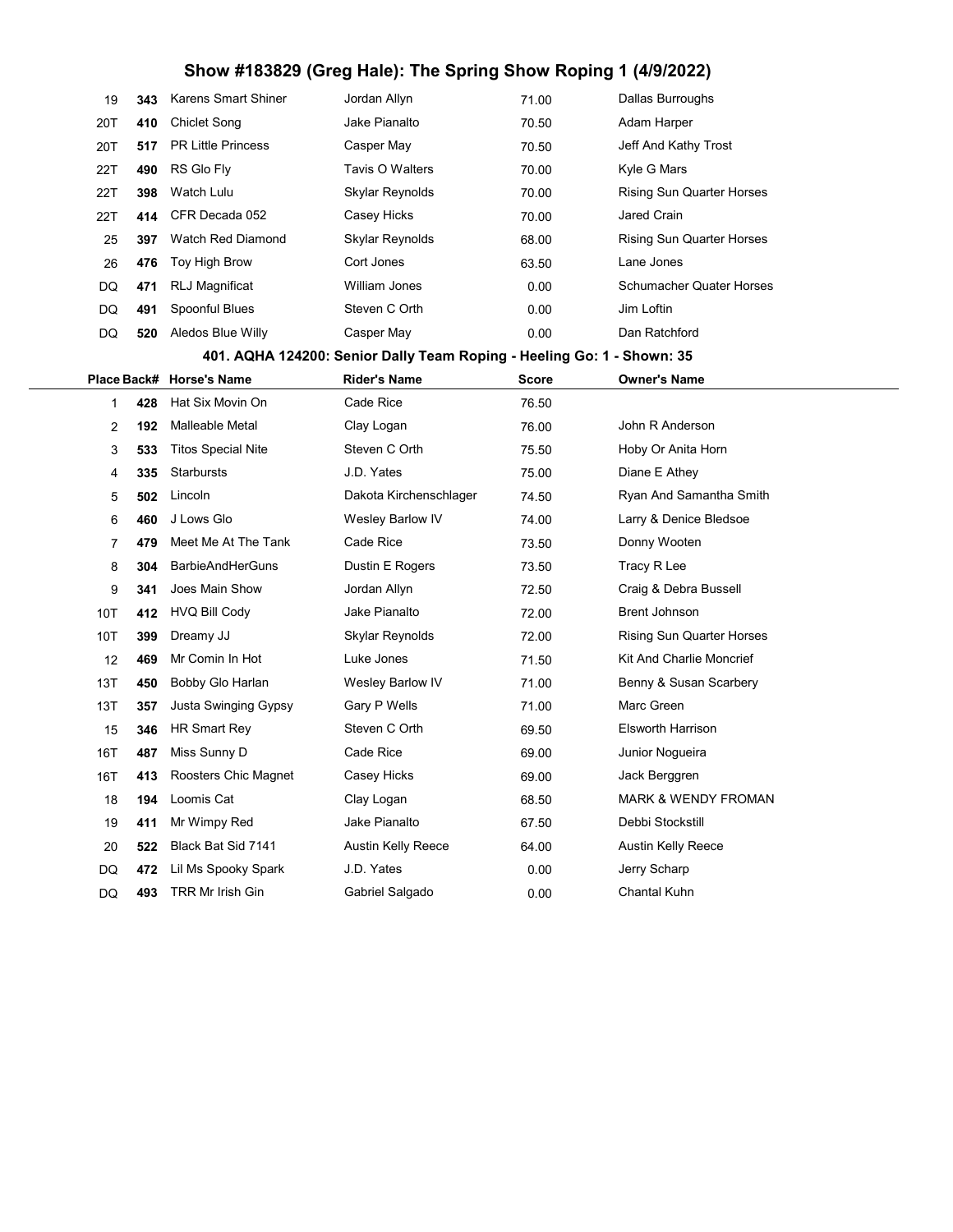# Show #183829 (Greg Hale): The Spring Show Roping 1 (4/9/2022)

| 19  | 343 | <b>Karens Smart Shiner</b> | Jordan Allyn                                                           | 71.00 | Dallas Burroughs                 |
|-----|-----|----------------------------|------------------------------------------------------------------------|-------|----------------------------------|
| 20T | 410 | <b>Chiclet Song</b>        | Jake Pianalto                                                          | 70.50 | Adam Harper                      |
| 20T | 517 | <b>PR Little Princess</b>  | Casper May                                                             | 70.50 | Jeff And Kathy Trost             |
| 22T | 490 | RS Glo Fly                 | Tavis O Walters                                                        | 70.00 | Kyle G Mars                      |
| 22T | 398 | Watch Lulu                 | Skylar Reynolds                                                        | 70.00 | Rising Sun Quarter Horses        |
| 22T | 414 | CFR Decada 052             | Casey Hicks                                                            | 70.00 | Jared Crain                      |
| 25  | 397 | <b>Watch Red Diamond</b>   | Skylar Reynolds                                                        | 68.00 | Rising Sun Quarter Horses        |
| 26  | 476 | Toy High Brow              | Cort Jones                                                             | 63.50 | Lane Jones                       |
| DQ  | 471 | <b>RLJ Magnificat</b>      | William Jones                                                          | 0.00  | <b>Schumacher Quater Horses</b>  |
| DQ  | 491 | Spoonful Blues             | Steven C Orth                                                          | 0.00  | Jim Loftin                       |
| DQ  | 520 | Aledos Blue Willy          | Casper May                                                             | 0.00  | Dan Ratchford                    |
|     |     |                            | 401. AQHA 124200: Senior Dally Team Roping - Heeling Go: 1 - Shown: 35 |       |                                  |
|     |     | Place Back# Horse's Name   | <b>Rider's Name</b>                                                    | Score | <b>Owner's Name</b>              |
| 1   | 428 | Hat Six Movin On           | Cade Rice                                                              | 76.50 |                                  |
| 2   | 192 | Malleable Metal            | Clay Logan                                                             | 76.00 | John R Anderson                  |
| 3   | 533 | <b>Titos Special Nite</b>  | Steven C Orth                                                          | 75.50 | Hoby Or Anita Horn               |
| 4   | 335 | Starbursts                 | J.D. Yates                                                             | 75.00 | Diane E Athey                    |
| 5   | 502 | Lincoln                    | Dakota Kirchenschlager                                                 | 74.50 | Ryan And Samantha Smith          |
| 6   | 460 | J Lows Glo                 | Wesley Barlow IV                                                       | 74.00 | Larry & Denice Bledsoe           |
| 7   | 479 | Meet Me At The Tank        | Cade Rice                                                              | 73.50 | Donny Wooten                     |
| 8   | 304 | <b>BarbieAndHerGuns</b>    | Dustin E Rogers                                                        | 73.50 | Tracy R Lee                      |
| 9   | 341 | Joes Main Show             | Jordan Allyn                                                           | 72.50 | Craig & Debra Bussell            |
| 10T | 412 | <b>HVQ Bill Cody</b>       | Jake Pianalto                                                          | 72.00 | Brent Johnson                    |
| 10T | 399 | Dreamy JJ                  | Skylar Reynolds                                                        | 72.00 | <b>Rising Sun Quarter Horses</b> |
| 12  | 469 | Mr Comin In Hot            | Luke Jones                                                             | 71.50 | Kit And Charlie Moncrief         |
| 13T | 450 | Bobby Glo Harlan           | Wesley Barlow IV                                                       | 71.00 | Benny & Susan Scarbery           |
| 13T | 357 | Justa Swinging Gypsy       | Gary P Wells                                                           | 71.00 | Marc Green                       |
| 15  | 346 | HR Smart Rey               | Steven C Orth                                                          | 69.50 | Elsworth Harrison                |
| 16T | 487 | Miss Sunny D               | Cade Rice                                                              | 69.00 | Junior Nogueira                  |
| 16T | 413 | Roosters Chic Magnet       | Casey Hicks                                                            | 69.00 | Jack Berggren                    |
| 18  | 194 | Loomis Cat                 | Clay Logan                                                             | 68.50 | <b>MARK &amp; WENDY FROMAN</b>   |
| 19  | 411 | Mr Wimpy Red               | Jake Pianalto                                                          | 67.50 | Debbi Stockstill                 |
| 20  | 522 | Black Bat Sid 7141         | Austin Kelly Reece                                                     | 64.00 | Austin Kelly Reece               |
| DQ  | 472 | Lil Ms Spooky Spark        | J.D. Yates                                                             | 0.00  | Jerry Scharp                     |
| DQ  | 493 | TRR Mr Irish Gin           | Gabriel Salgado                                                        | 0.00  | Chantal Kuhn                     |
|     |     |                            |                                                                        |       |                                  |

÷,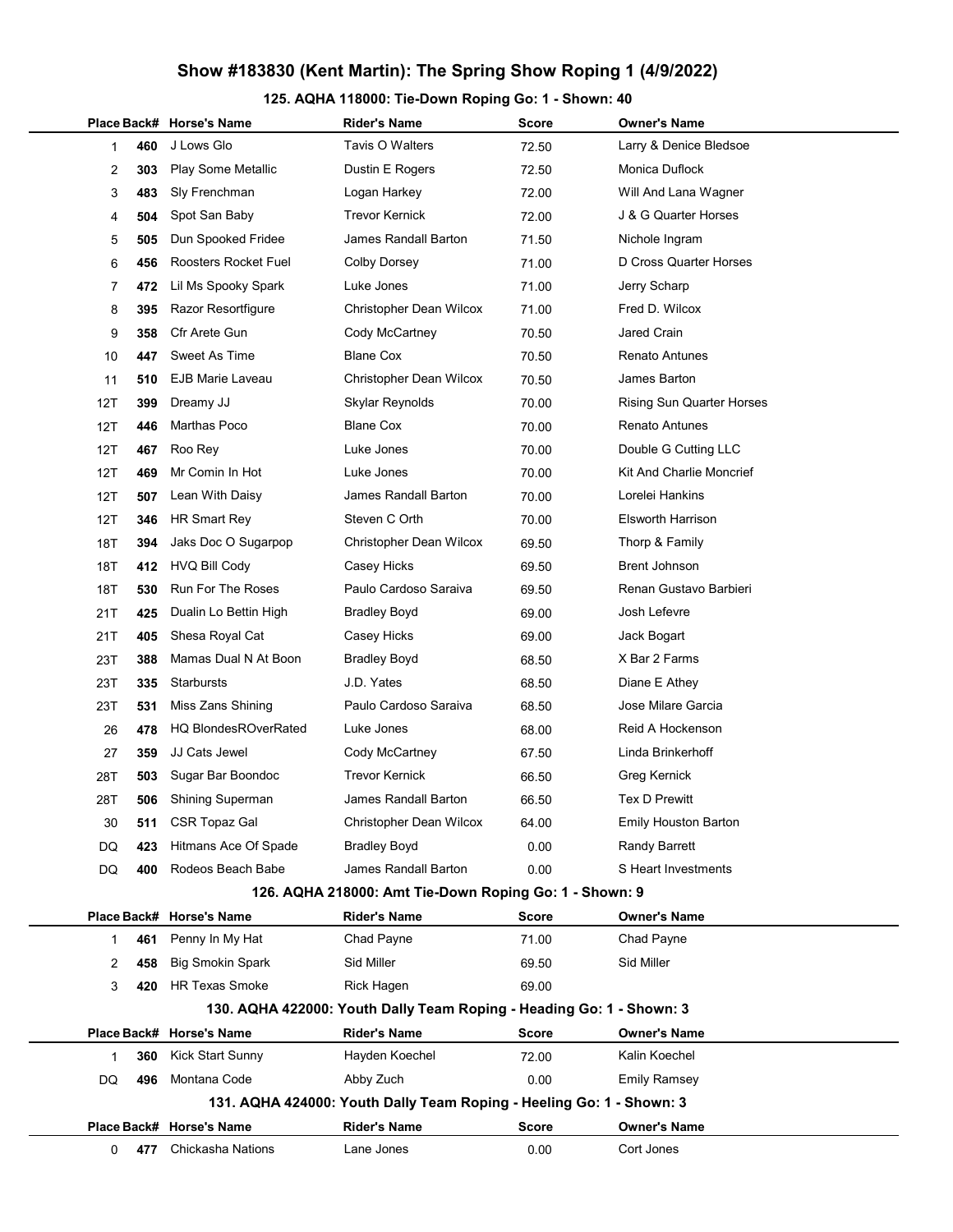## Show #183830 (Kent Martin): The Spring Show Roping 1 (4/9/2022)

### 125. AQHA 118000: Tie-Down Roping Go: 1 - Shown: 40

|              |             | Place Back# Horse's Name    | <b>Rider's Name</b>                                                  | Score        | <b>Owner's Name</b>              |
|--------------|-------------|-----------------------------|----------------------------------------------------------------------|--------------|----------------------------------|
| 1            | 460         | J Lows Glo                  | Tavis O Walters                                                      | 72.50        | Larry & Denice Bledsoe           |
| 2            | 303         | Play Some Metallic          | Dustin E Rogers                                                      | 72.50        | Monica Duflock                   |
| 3            | 483         | Sly Frenchman               | Logan Harkey                                                         | 72.00        | Will And Lana Wagner             |
| 4            | 504         | Spot San Baby               | <b>Trevor Kernick</b>                                                | 72.00        | J & G Quarter Horses             |
| 5            | 505         | Dun Spooked Fridee          | James Randall Barton                                                 | 71.50        | Nichole Ingram                   |
| 6            | 456         | Roosters Rocket Fuel        | <b>Colby Dorsey</b>                                                  | 71.00        | D Cross Quarter Horses           |
| 7            | 472         | Lil Ms Spooky Spark         | Luke Jones                                                           | 71.00        | Jerry Scharp                     |
| 8            | 395         | Razor Resortfigure          | Christopher Dean Wilcox                                              | 71.00        | Fred D. Wilcox                   |
| 9            | 358         | Cfr Arete Gun               | Cody McCartney                                                       | 70.50        | <b>Jared Crain</b>               |
| 10           | 447         | Sweet As Time               | <b>Blane Cox</b>                                                     | 70.50        | <b>Renato Antunes</b>            |
| 11           | 510         | EJB Marie Laveau            | Christopher Dean Wilcox                                              | 70.50        | James Barton                     |
| 12T          | 399         | Dreamy JJ                   | Skylar Reynolds                                                      | 70.00        | <b>Rising Sun Quarter Horses</b> |
| 12T          | 446         | Marthas Poco                | <b>Blane Cox</b>                                                     | 70.00        | <b>Renato Antunes</b>            |
| 12T          | 467         | Roo Rey                     | Luke Jones                                                           | 70.00        | Double G Cutting LLC             |
| 12T          | 469         | Mr Comin In Hot             | Luke Jones                                                           | 70.00        | Kit And Charlie Moncrief         |
| 12T          | 507         | Lean With Daisy             | James Randall Barton                                                 | 70.00        | Lorelei Hankins                  |
| 12T          | 346         | HR Smart Rey                | Steven C Orth                                                        | 70.00        | <b>Elsworth Harrison</b>         |
| 18T          | 394         | Jaks Doc O Sugarpop         | Christopher Dean Wilcox                                              | 69.50        | Thorp & Family                   |
| 18T          | 412         | <b>HVQ Bill Cody</b>        | Casey Hicks                                                          | 69.50        | <b>Brent Johnson</b>             |
| 18T          | 530         | <b>Run For The Roses</b>    | Paulo Cardoso Saraiva                                                | 69.50        | Renan Gustavo Barbieri           |
| 21T          | 425         | Dualin Lo Bettin High       | <b>Bradley Boyd</b>                                                  | 69.00        | Josh Lefevre                     |
| 21T          | 405         | Shesa Royal Cat             | Casey Hicks                                                          | 69.00        | Jack Bogart                      |
| 23T          | 388         | Mamas Dual N At Boon        | <b>Bradley Boyd</b>                                                  | 68.50        | X Bar 2 Farms                    |
| 23T          | 335         | Starbursts                  | J.D. Yates                                                           | 68.50        | Diane E Athey                    |
| 23T          | 531         | Miss Zans Shining           | Paulo Cardoso Saraiva                                                | 68.50        | Jose Milare Garcia               |
| 26           | 478         | <b>HQ BlondesROverRated</b> | Luke Jones                                                           | 68.00        | Reid A Hockenson                 |
| 27           | 359         | <b>JJ Cats Jewel</b>        | Cody McCartney                                                       | 67.50        | Linda Brinkerhoff                |
| 28T          | 503         | Sugar Bar Boondoc           | <b>Trevor Kernick</b>                                                | 66.50        | Greg Kernick                     |
| 28T          | 506         | <b>Shining Superman</b>     | James Randall Barton                                                 | 66.50        | <b>Tex D Prewitt</b>             |
| 30           | 511         | <b>CSR Topaz Gal</b>        | Christopher Dean Wilcox                                              | 64.00        | <b>Emily Houston Barton</b>      |
| DQ           | 423         | Hitmans Ace Of Spade        | <b>Bradley Boyd</b>                                                  | 0.00         | <b>Randy Barrett</b>             |
| DQ           | 400         | Rodeos Beach Babe           | James Randall Barton                                                 | 0.00         | S Heart Investments              |
|              |             |                             | 126. AQHA 218000: Amt Tie-Down Roping Go: 1 - Shown: 9               |              |                                  |
|              | Place Back# | <b>Horse's Name</b>         | <b>Rider's Name</b>                                                  | <b>Score</b> | <b>Owner's Name</b>              |
| $\mathbf{1}$ | 461         | Penny In My Hat             | Chad Payne                                                           | 71.00        | Chad Payne                       |
| 2            | 458         | <b>Big Smokin Spark</b>     | Sid Miller                                                           | 69.50        | Sid Miller                       |
| 3            | 420         | <b>HR Texas Smoke</b>       | Rick Hagen                                                           | 69.00        |                                  |
|              |             |                             | 130. AQHA 422000: Youth Dally Team Roping - Heading Go: 1 - Shown: 3 |              |                                  |
|              |             | Place Back# Horse's Name    | <b>Rider's Name</b>                                                  | <b>Score</b> | <b>Owner's Name</b>              |
|              | 360         | Kick Start Sunny            | Hayden Koechel                                                       | 72.00        | Kalin Koechel                    |
| DQ           | 496         | Montana Code                | Abby Zuch                                                            | 0.00         | <b>Emily Ramsey</b>              |
|              |             |                             | 131. AQHA 424000: Youth Dally Team Roping - Heeling Go: 1 - Shown: 3 |              |                                  |
|              |             | Place Back# Horse's Name    | <b>Rider's Name</b>                                                  | <b>Score</b> | <b>Owner's Name</b>              |
| 0            | 477         | Chickasha Nations           | Lane Jones                                                           | 0.00         | Cort Jones                       |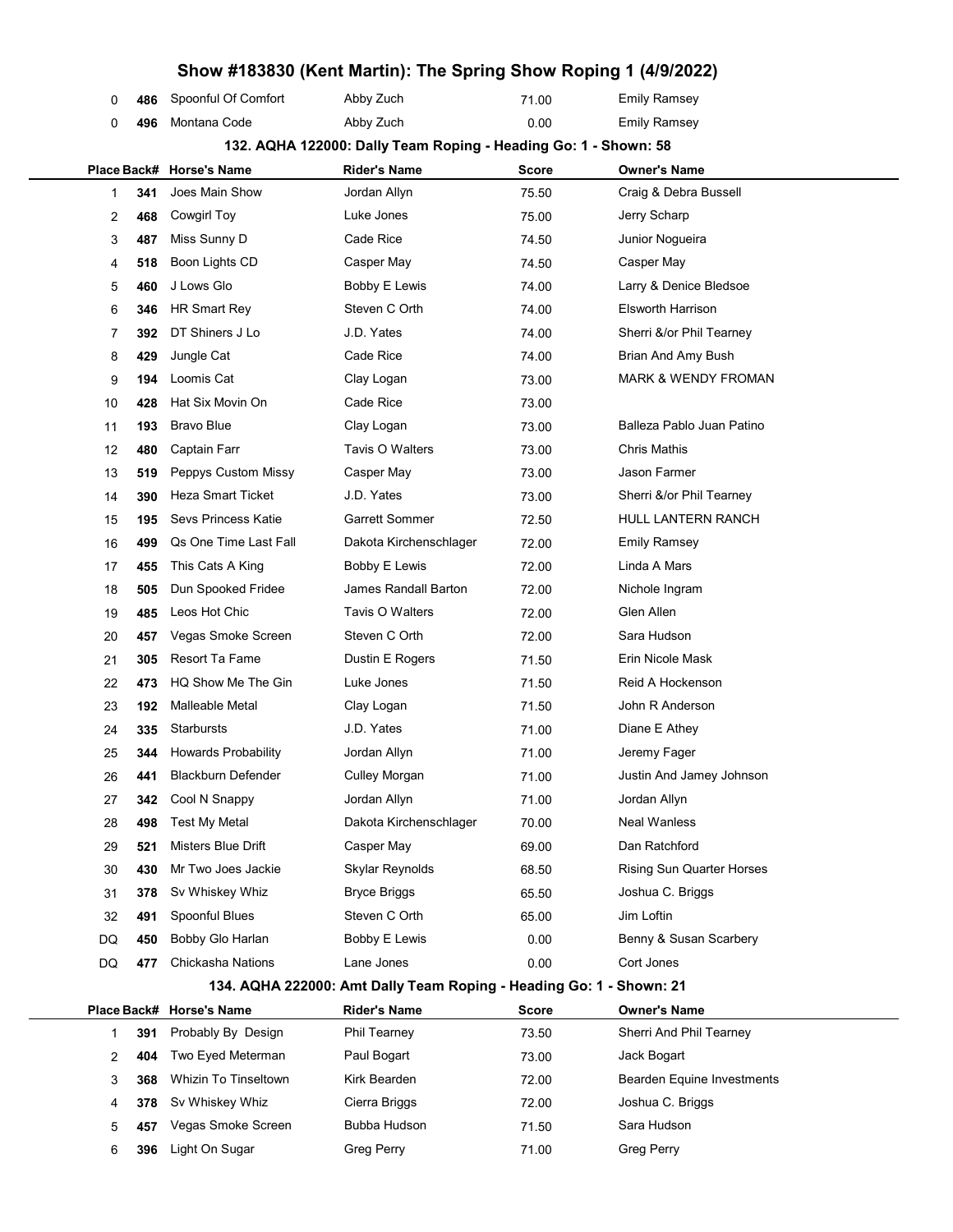|                |     | Show #183830 (Kent Martin): The Spring Show Roping 1 (4/9/2022) |                                                                     |              |                                |  |
|----------------|-----|-----------------------------------------------------------------|---------------------------------------------------------------------|--------------|--------------------------------|--|
| 0              | 486 | Spoonful Of Comfort                                             | Abby Zuch                                                           | 71.00        | <b>Emily Ramsey</b>            |  |
| 0              | 496 | Montana Code                                                    | Abby Zuch                                                           | 0.00         | <b>Emily Ramsey</b>            |  |
|                |     |                                                                 | 132. AQHA 122000: Dally Team Roping - Heading Go: 1 - Shown: 58     |              |                                |  |
|                |     | Place Back# Horse's Name                                        | <b>Rider's Name</b>                                                 | Score        | <b>Owner's Name</b>            |  |
| 1              | 341 | Joes Main Show                                                  | Jordan Allyn                                                        | 75.50        | Craig & Debra Bussell          |  |
| $\overline{c}$ | 468 | Cowgirl Toy                                                     | Luke Jones                                                          | 75.00        | Jerry Scharp                   |  |
| 3              | 487 | Miss Sunny D                                                    | Cade Rice                                                           | 74.50        | Junior Nogueira                |  |
| 4              | 518 | Boon Lights CD                                                  | Casper May                                                          | 74.50        | Casper May                     |  |
| 5              | 460 | J Lows Glo                                                      | <b>Bobby E Lewis</b>                                                | 74.00        | Larry & Denice Bledsoe         |  |
| 6              | 346 | HR Smart Rey                                                    | Steven C Orth                                                       | 74.00        | <b>Elsworth Harrison</b>       |  |
| 7              | 392 | DT Shiners J Lo                                                 | J.D. Yates                                                          | 74.00        | Sherri &/or Phil Tearney       |  |
| 8              | 429 | Jungle Cat                                                      | Cade Rice                                                           | 74.00        | Brian And Amy Bush             |  |
| 9              | 194 | Loomis Cat                                                      | Clay Logan                                                          | 73.00        | <b>MARK &amp; WENDY FROMAN</b> |  |
| 10             | 428 | Hat Six Movin On                                                | Cade Rice                                                           | 73.00        |                                |  |
| 11             | 193 | <b>Bravo Blue</b>                                               | Clay Logan                                                          | 73.00        | Balleza Pablo Juan Patino      |  |
| 12             | 480 | Captain Farr                                                    | Tavis O Walters                                                     | 73.00        | <b>Chris Mathis</b>            |  |
| 13             | 519 | Peppys Custom Missy                                             | Casper May                                                          | 73.00        | Jason Farmer                   |  |
| 14             | 390 | <b>Heza Smart Ticket</b>                                        | J.D. Yates                                                          | 73.00        | Sherri &/or Phil Tearney       |  |
| 15             | 195 | Sevs Princess Katie                                             | <b>Garrett Sommer</b>                                               | 72.50        | <b>HULL LANTERN RANCH</b>      |  |
| 16             | 499 | Qs One Time Last Fall                                           | Dakota Kirchenschlager                                              | 72.00        | <b>Emily Ramsey</b>            |  |
| 17             | 455 | This Cats A King                                                | Bobby E Lewis                                                       | 72.00        | Linda A Mars                   |  |
| 18             | 505 | Dun Spooked Fridee                                              | James Randall Barton                                                | 72.00        | Nichole Ingram                 |  |
| 19             | 485 | Leos Hot Chic                                                   | Tavis O Walters                                                     | 72.00        | Glen Allen                     |  |
| 20             | 457 | Vegas Smoke Screen                                              | Steven C Orth                                                       | 72.00        | Sara Hudson                    |  |
| 21             | 305 | Resort Ta Fame                                                  | Dustin E Rogers                                                     | 71.50        | Erin Nicole Mask               |  |
| 22             | 473 | HQ Show Me The Gin                                              | Luke Jones                                                          | 71.50        | Reid A Hockenson               |  |
| 23             | 192 | Malleable Metal                                                 | Clay Logan                                                          | 71.50        | John R Anderson                |  |
| 24             | 335 | <b>Starbursts</b>                                               | J.D. Yates                                                          | 71.00        | Diane E Athey                  |  |
| 25             | 344 | <b>Howards Probability</b>                                      | Jordan Allyn                                                        | 71.00        | Jeremy Fager                   |  |
| 26             | 441 | <b>Blackburn Defender</b>                                       | <b>Culley Morgan</b>                                                | 71.00        | Justin And Jamey Johnson       |  |
| 27             | 342 | Cool N Snappy                                                   | Jordan Allyn                                                        | 71.00        | Jordan Allyn                   |  |
| 28             | 498 | <b>Test My Metal</b>                                            | Dakota Kirchenschlager                                              | 70.00        | <b>Neal Wanless</b>            |  |
| 29             | 521 | Misters Blue Drift                                              | Casper May                                                          | 69.00        | Dan Ratchford                  |  |
| 30             | 430 | Mr Two Joes Jackie                                              | Skylar Reynolds                                                     | 68.50        | Rising Sun Quarter Horses      |  |
| 31             | 378 | Sv Whiskey Whiz                                                 | <b>Bryce Briggs</b>                                                 | 65.50        | Joshua C. Briggs               |  |
| 32             | 491 | Spoonful Blues                                                  | Steven C Orth                                                       | 65.00        | Jim Loftin                     |  |
| DQ             | 450 | Bobby Glo Harlan                                                | <b>Bobby E Lewis</b>                                                | 0.00         | Benny & Susan Scarbery         |  |
| DQ             | 477 | Chickasha Nations                                               | Lane Jones                                                          | 0.00         | Cort Jones                     |  |
|                |     |                                                                 | 134. AQHA 222000: Amt Dally Team Roping - Heading Go: 1 - Shown: 21 |              |                                |  |
| Place Back#    |     | <b>Horse's Name</b>                                             | <b>Rider's Name</b>                                                 | <b>Score</b> | <b>Owner's Name</b>            |  |
| 1              | 391 | Probably By Design                                              | <b>Phil Tearney</b>                                                 | 73.50        | Sherri And Phil Tearney        |  |
| 2              | 404 | Two Eyed Meterman                                               | Paul Bogart                                                         | 73.00        | Jack Bogart                    |  |
| 3              | 368 | <b>Whizin To Tinseltown</b>                                     | Kirk Bearden                                                        | 72.00        | Bearden Equine Investments     |  |
| 4              | 378 | Sv Whiskey Whiz                                                 | Cierra Briggs                                                       | 72.00        | Joshua C. Briggs               |  |
| 5              | 457 | Vegas Smoke Screen                                              | Bubba Hudson                                                        | 71.50        | Sara Hudson                    |  |
| 6              | 396 | Light On Sugar                                                  | Greg Perry                                                          | 71.00        | Greg Perry                     |  |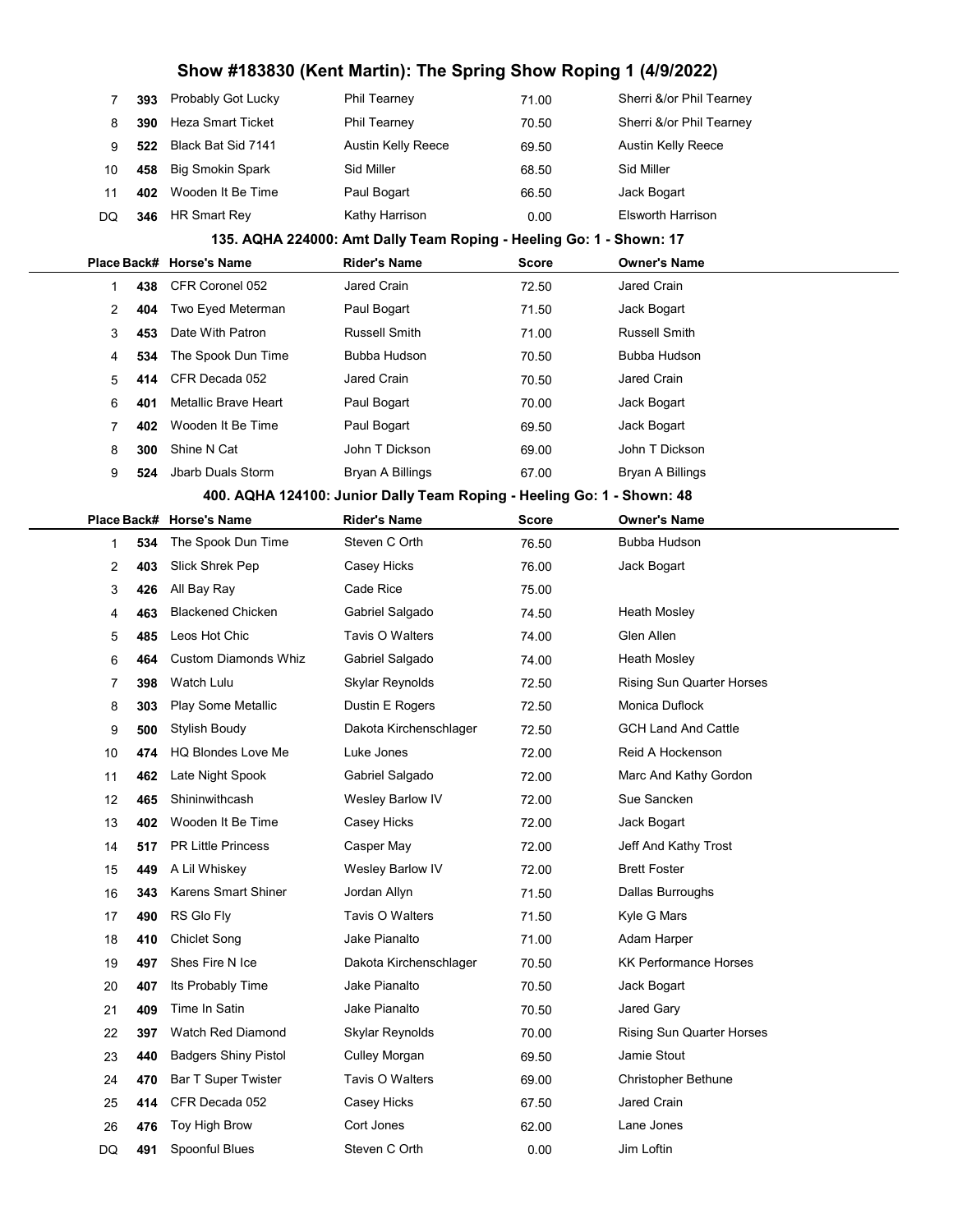# Show #183830 (Kent Martin): The Spring Show Roping 1 (4/9/2022)

| 7           | 393 | Probably Got Lucky          | <b>Phil Tearney</b>                                                    | 71.00        | Sherri &/or Phil Tearney         |
|-------------|-----|-----------------------------|------------------------------------------------------------------------|--------------|----------------------------------|
| 8           | 390 | <b>Heza Smart Ticket</b>    | Phil Tearney                                                           | 70.50        | Sherri &/or Phil Tearney         |
| 9           | 522 | Black Bat Sid 7141          | <b>Austin Kelly Reece</b>                                              | 69.50        | <b>Austin Kelly Reece</b>        |
| 10          | 458 | <b>Big Smokin Spark</b>     | Sid Miller                                                             | 68.50        | Sid Miller                       |
| 11          | 402 | Wooden It Be Time           | Paul Bogart                                                            | 66.50        | Jack Bogart                      |
| DQ          | 346 | HR Smart Rey                | Kathy Harrison                                                         | 0.00         | Elsworth Harrison                |
|             |     |                             | 135. AQHA 224000: Amt Dally Team Roping - Heeling Go: 1 - Shown: 17    |              |                                  |
|             |     | Place Back# Horse's Name    | <b>Rider's Name</b>                                                    | <b>Score</b> | <b>Owner's Name</b>              |
| 1           | 438 | CFR Coronel 052             | Jared Crain                                                            | 72.50        | Jared Crain                      |
| 2           | 404 | Two Eyed Meterman           | Paul Bogart                                                            | 71.50        | Jack Bogart                      |
| 3           | 453 | Date With Patron            | Russell Smith                                                          | 71.00        | Russell Smith                    |
| 4           | 534 | The Spook Dun Time          | Bubba Hudson                                                           | 70.50        | Bubba Hudson                     |
| 5           | 414 | CFR Decada 052              | Jared Crain                                                            | 70.50        | Jared Crain                      |
| 6           | 401 | Metallic Brave Heart        | Paul Bogart                                                            | 70.00        | Jack Bogart                      |
| 7           | 402 | Wooden It Be Time           | Paul Bogart                                                            | 69.50        | Jack Bogart                      |
| 8           | 300 | Shine N Cat                 | John T Dickson                                                         | 69.00        | John T Dickson                   |
| 9           | 524 | Jbarb Duals Storm           | Bryan A Billings                                                       | 67.00        | Bryan A Billings                 |
|             |     |                             | 400. AQHA 124100: Junior Dally Team Roping - Heeling Go: 1 - Shown: 48 |              |                                  |
| Place Back# |     | <b>Horse's Name</b>         | <b>Rider's Name</b>                                                    | <b>Score</b> | <b>Owner's Name</b>              |
| 1           | 534 | The Spook Dun Time          | Steven C Orth                                                          | 76.50        | Bubba Hudson                     |
| 2           | 403 | Slick Shrek Pep             | Casey Hicks                                                            | 76.00        | Jack Bogart                      |
| 3           | 426 | All Bay Ray                 | Cade Rice                                                              | 75.00        |                                  |
| 4           | 463 | <b>Blackened Chicken</b>    | Gabriel Salgado                                                        | 74.50        | Heath Mosley                     |
| 5           | 485 | Leos Hot Chic               | Tavis O Walters                                                        | 74.00        | Glen Allen                       |
| 6           | 464 | <b>Custom Diamonds Whiz</b> | Gabriel Salgado                                                        | 74.00        | Heath Mosley                     |
| 7           | 398 | Watch Lulu                  | Skylar Reynolds                                                        | 72.50        | <b>Rising Sun Quarter Horses</b> |
| 8           | 303 | Play Some Metallic          | Dustin E Rogers                                                        | 72.50        | Monica Duflock                   |
| 9           | 500 | Stylish Boudy               | Dakota Kirchenschlager                                                 | 72.50        | <b>GCH Land And Cattle</b>       |
| 10          | 474 | <b>HQ Blondes Love Me</b>   | Luke Jones                                                             | 72.00        | Reid A Hockenson                 |
| 11          | 462 | Late Night Spook            | Gabriel Salgado                                                        | 72.00        | Marc And Kathy Gordon            |
| 12          | 465 | Shininwithcash              | Wesley Barlow IV                                                       | 72.00        | Sue Sancken                      |
| 13          | 402 | Wooden It Be Time           | Casey Hicks                                                            | 72.00        | Jack Bogart                      |
| 14          | 517 | <b>PR Little Princess</b>   | Casper May                                                             | 72.00        | Jeff And Kathy Trost             |
| 15          | 449 | A Lil Whiskey               | Wesley Barlow IV                                                       | 72.00        | <b>Brett Foster</b>              |
| 16          | 343 | Karens Smart Shiner         | Jordan Allyn                                                           | 71.50        | Dallas Burroughs                 |
| 17          | 490 | RS Glo Fly                  | Tavis O Walters                                                        | 71.50        | Kyle G Mars                      |
| 18          | 410 | <b>Chiclet Song</b>         | Jake Pianalto                                                          | 71.00        | Adam Harper                      |
| 19          | 497 | Shes Fire N Ice             | Dakota Kirchenschlager                                                 | 70.50        | <b>KK Performance Horses</b>     |
| 20          | 407 | Its Probably Time           | Jake Pianalto                                                          | 70.50        | Jack Bogart                      |
| 21          | 409 | Time In Satin               | Jake Pianalto                                                          | 70.50        | Jared Gary                       |
| 22          | 397 | Watch Red Diamond           | Skylar Reynolds                                                        | 70.00        | <b>Rising Sun Quarter Horses</b> |
| 23          | 440 | <b>Badgers Shiny Pistol</b> | Culley Morgan                                                          | 69.50        | Jamie Stout                      |
| 24          | 470 | <b>Bar T Super Twister</b>  | Tavis O Walters                                                        | 69.00        | Christopher Bethune              |
| 25          | 414 | CFR Decada 052              | Casey Hicks                                                            | 67.50        | Jared Crain                      |
| 26          | 476 | Toy High Brow               | Cort Jones                                                             | 62.00        | Lane Jones                       |
| DQ          | 491 | Spoonful Blues              | Steven C Orth                                                          | 0.00         | Jim Loftin                       |